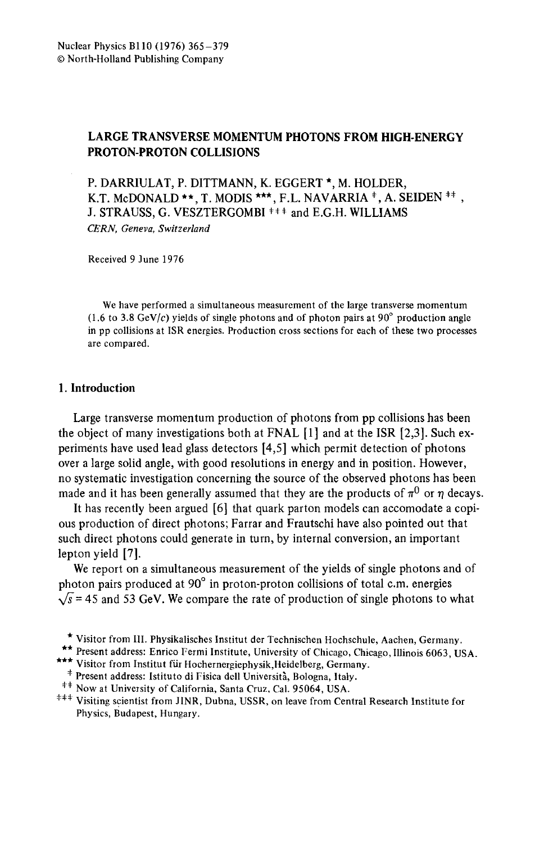## **LARGE TRANSVERSE MOMENTUM PHOTONS FROM HIGH-ENERGY**  PROTON-PROTON **COLLISIONS**

P. DARRIULAT, P. DITTMANN, K. EGGERT \*, M. HOLDER, K.T. McDONALD \*\*, T. MODIS \*\*\*, F.L. NAVARRIA  $^*$ , A. SEIDEN  $^{**}$ , J. STRAUSS, G. VESZTERGOMBI <sup>###</sup> and E.G.H. WILLIAMS *CERN, Geneva, Switzerland* 

Received 9 June 1976

We have performed a simultaneous measurement of the large transverse momentum  $(1.6 \text{ to } 3.8 \text{ GeV}/c)$  yields of single photons and of photon pairs at 90 $^{\circ}$  production angle in pp collisions at ISR energies. Production cross sections for each of these two processes are compared.

### 1. **Introduction**

Large transverse momentum production of photons from pp collisions has been the object of many investigations both at FNAL  $[1]$  and at the ISR  $[2,3]$ . Such experiments have used lead glass detectors [4,5] which permit detection of photons over a large solid angle, with good resolutions in energy and in position. However, no systematic investigation concerning the source of the observed photons has been made and it has been generally assumed that they are the products of  $\pi^0$  or  $\eta$  decays.

It has recently been argued [6] that quark parton models can accomodate a copious production of direct photons; Farrar and Frautschi have also pointed out that such direct photons could generate in turn, by internal conversion, an important lepton yield [7].

We report on a simultaneous measurement of the yields of single photons and of photon pairs produced at 90° in proton-proton collisions of total c.m. energies  $\sqrt{s}$  = 45 and 53 GeV. We compare the rate of production of single photons to what

- <sup>‡</sup> Present address: Istituto di Fisica dell Università, Bologna, Italy.
- <sup>##</sup> Now at University of California, Santa Cruz, Cal. 95064, USA.
- ¢\*\* Visiting scientist from JINR, Dubna, USSR, on leave from Central Research Institute for Physics, Budapest, Hungary.

<sup>\*</sup> Visitor from III. Physikalisches Institut der Technischen Hochschule, Aachen, Germany.

<sup>\*\*</sup> Present address: Enrico Fermi Institute, University of Chicago, Chicago, Illinois 6063, USA.

<sup>\*\*\*</sup> Visitor from Institut für Hochernergiephysik, Heidelberg, Germany.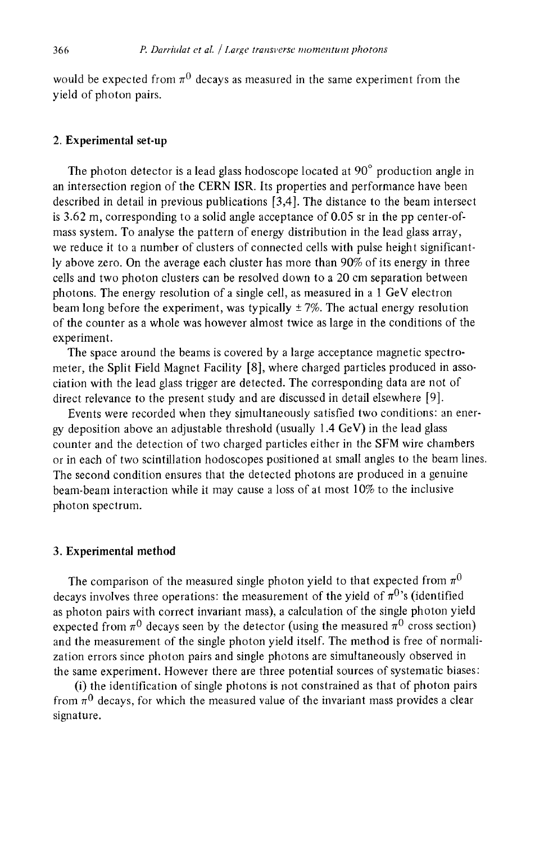would be expected from  $\pi^0$  decays as measured in the same experiment from the yield of photon pairs.

#### 2. Experimental set-up

The photon detector is a lead glass hodoscope located at  $90^\circ$  production angle in an intersection region of the CERN ISR. Its properties and performance have been described in detail in previous publications [3,4]. The distance to the beam intersect is 3.62 m, corresponding to a solid angle acceptance of 0.05 sr in the pp center-ofmass system. To analyse the pattern of energy distribution in the lead glass array, we reduce it to a number of clusters of connected cells with pulse height significantly above zero. On the average each cluster has more than 90% of its energy in three cells and two photon clusters can be resolved down to a 20 cm separation between photons. The energy resolution of a single cell, as measured in a 1 GeV electron beam long before the experiment, was typically  $\pm$  7%. The actual energy resolution of the counter as a whole was however almost twice as large in the conditions of the experiment.

The space around the beams is covered by a large acceptance magnetic spectrometer, the Split Field Magnet Facility [8], where charged particles produced in association with the lead glass trigger are detected. The corresponding data are not of direct relevance to the present study and are discussed in detail elsewhere [9].

Events were recorded when they simultaneously satisfied two conditions: an energy deposition above an adjustable threshold (usually 1.4 GeV) in the lead glass counter and the detection of two charged particles either in the SFM wire chambers or in each of two scintillation hodoscopes positioned at small angles to the beam lines. The second condition ensures that the detected photons are produced in a genuine beam-beam interaction while it may cause a loss of at most 10% to the inclusive photon spectrum.

#### 3. Experimental **method**

The comparison of the measured single photon yield to that expected from  $\pi^0$ decays involves three operations: the measurement of the yield of  $\pi^{0}$ 's (identified as photon pairs with correct invariant mass), a calculation of the single photon yield expected from  $\pi^0$  decays seen by the detector (using the measured  $\pi^0$  cross section) and the measurement of the single photon yield itself. The method is free of normalization errors since photon pairs and single photons are simultaneously observed in the same experiment. However there are three potential sources of systematic biases:

(i) the identification of single photons is not constrained as that of photon pairs from  $\pi^0$  decays, for which the measured value of the invariant mass provides a clear signature.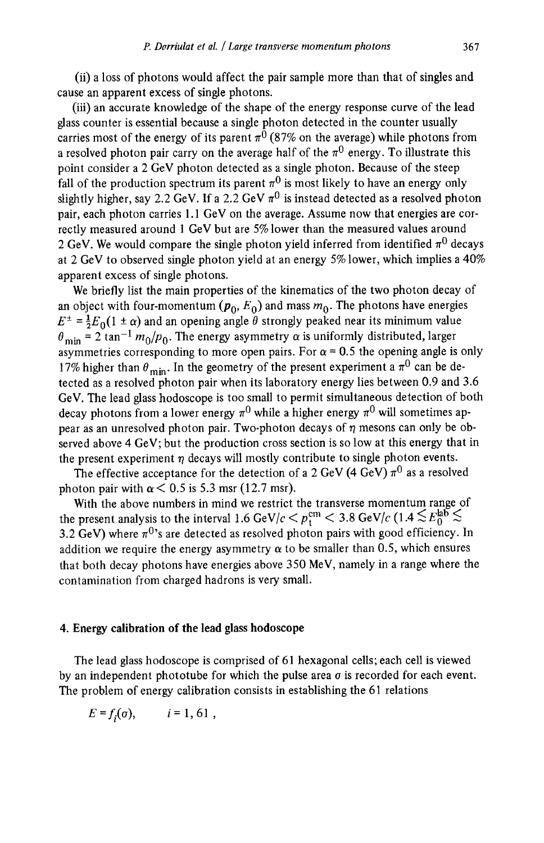(ii) a loss of photons would affect the pair sample more than that of singles and cause an apparent excess of single photons.

(iii) an accurate knowledge of the shape of the energy response curve of the lead glass counter is essential because a single photon detected in the counter usually carries most of the energy of its parent  $\pi^0$  (87% on the average) while photons from a resolved photon pair carry on the average half of the  $\pi^0$  energy. To illustrate this point consider a 2 GeV photon detected as a single photon. Because of the steep fall of the production spectrum its parent  $\pi^0$  is most likely to have an energy only slightly higher, say 2.2 GeV. If a 2.2 GeV  $\pi^0$  is instead detected as a resolved photon pair, each photon carries 1.1 GeV on the average. Assume now that energies are correctly measured around 1 GeV but are 5% lower than the measured values around 2 GeV. We would compare the single photon yield inferred from identified  $\pi^0$  decays at 2 GeV to observed single photon yield at an energy 5% lower, which implies a 40% apparent excess of single photons.

We briefly list the main properties of the kinematics of the two photon decay of an object with four-momentum ( $p_0$ ,  $E_0$ ) and mass  $m_0$ . The photons have energies  $E^{\pm} = \frac{1}{2} E_0(1 \pm \alpha)$  and an opening angle  $\ddot{\theta}$  strongly peaked near its minimum value  $\theta_{\text{min}} = 2 \tan^{-1} m_0 / p_0$ . The energy asymmetry  $\alpha$  is uniformly distributed, larger asymmetries corresponding to more open pairs. For  $\alpha$  = 0.5 the opening angle is only 17% higher than  $\theta_{\min}$ . In the geometry of the present experiment a  $\pi^0$  can be detected as a resolved photon pair when its laboratory energy lies between 0.9 and 3.6 GeV. The lead glass hodoscope is too small to permit simultaneous detection of both decay photons from a lower energy  $\pi^0$  while a higher energy  $\pi^0$  will sometimes appear as an unresolved photon pair. Two-photon decays of  $\eta$  mesons can only be observed above 4 GeV; but the production cross section is so low at this energy that in the present experiment  $\eta$  decays will mostly contribute to single photon events.

The effective acceptance for the detection of a 2 GeV (4 GeV)  $\pi^0$  as a resolved photon pair with  $\alpha$  < 0.5 is 5.3 msr (12.7 msr).

With the above numbers in mind we restrict the transverse momentum range of the present analysis to the interval 1.6 GeV/c  $\langle p_{\rm t}^{\rm cm} \rangle$  = 3.8 GeV/c (1.4  $\lesssim E_0^{\rm lab} \lesssim$ 3.2 GeV) where  $\pi^{0}$ 's are detected as resolved photon pairs with good efficiency. In addition we require the energy asymmetry  $\alpha$  to be smaller than 0.5, which ensures that both decay photons have energies above 350 MeV, namely in a range where the contamination from charged hadrons is very small.

#### 4. Energy **calibration of the lead glass hodoscope**

The lead glass hodoscope is comprised of 61 hexagonal cells; each cell is viewed by an independent phototube for which the pulse area  $\sigma$  is recorded for each event. The problem of energy calibration consists in establishing the 61 relations

$$
E = f_i(\sigma), \qquad i = 1, 61,
$$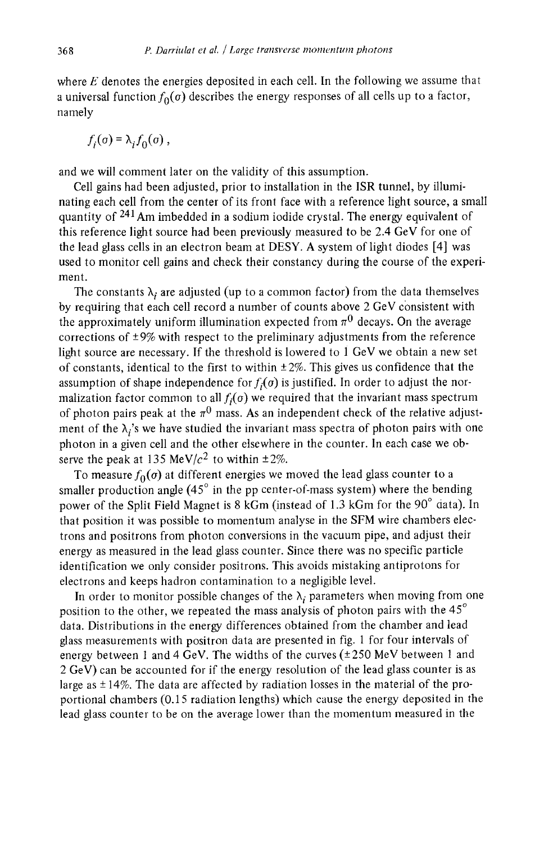where  $E$  denotes the energies deposited in each cell. In the following we assume that a universal function  $f_0(\sigma)$  describes the energy responses of all cells up to a factor, namely

$$
f_i(\sigma) = \lambda_i f_0(\sigma) ,
$$

and we will comment later on the validity of this assumption.

Cell gains had been adjusted, prior to installation in the ISR tunnel, by illuminating each cell from the center of its front face with a reference light source, a small quantity of 241Am imbedded in a sodium iodide crystal. The energy equivalent of this reference light source had been previously measured to be 2.4 GeV for one of the lead glass cells in an electron beam at DESY. A system of light diodes [4] was used to monitor cell gains and check their constancy during the course of the experiment.

The constants  $\lambda_i$  are adjusted (up to a common factor) from the data themselves by requiring that each cell record a number of counts above 2 GeV consistent with the approximately uniform illumination expected from  $\pi^0$  decays. On the average corrections of  $\pm 9\%$  with respect to the preliminary adjustments from the reference light source are necessary. If the threshold is lowered to  $1 \text{ GeV}$  we obtain a new set of constants, identical to the first to within  $\pm 2\%$ . This gives us confidence that the assumption of shape independence for  $f_i(\sigma)$  is justified. In order to adjust the normalization factor common to all  $f_i(\sigma)$  we required that the invariant mass spectrum of photon pairs peak at the  $\pi^0$  mass. As an independent check of the relative adjustment of the  $\lambda_i$ 's we have studied the invariant mass spectra of photon pairs with one photon in a given cell and the other elsewhere in the counter. In each case we observe the peak at 135 MeV/ $c<sup>2</sup>$  to within  $\pm 2\%$ .

To measure  $f_0(\sigma)$  at different energies we moved the lead glass counter to a smaller production angle  $(45^\circ$  in the pp center-of-mass system) where the bending power of the Split Field Magnet is 8 kGm (instead of 1.3 kGm for the 90° data). In that position it was possible to momentum analyse in the SFM wire chambers electrons and positrons from photon conversions in the vacuum pipe, and adjust their energy as measured in the lead glass counter. Since there was no specific particle identification we only consider positrons. This avoids mistaking antiprotons for electrons and keeps hadron contamination to a negligible level.

In order to monitor possible changes of the  $\lambda_i$  parameters when moving from one position to the other, we repeated the mass analysis of photon pairs with the *45 °*  data. Distributions in the energy differences obtained from the chamber and lead glass measurements with positron data are presented in fig. 1 for four intervals of energy between 1 and 4 GeV. The widths of the curves  $(\pm 250 \text{ MeV})$  between 1 and 2 GeV) can be accounted for if the energy resolution of the lead glass counter is as large as  $\pm$  14%. The data are affected by radiation losses in the material of the proportional chambers (0.15 radiation lengths) which cause the energy deposited in the lead glass counter to be on the average lower than the momentum measured in the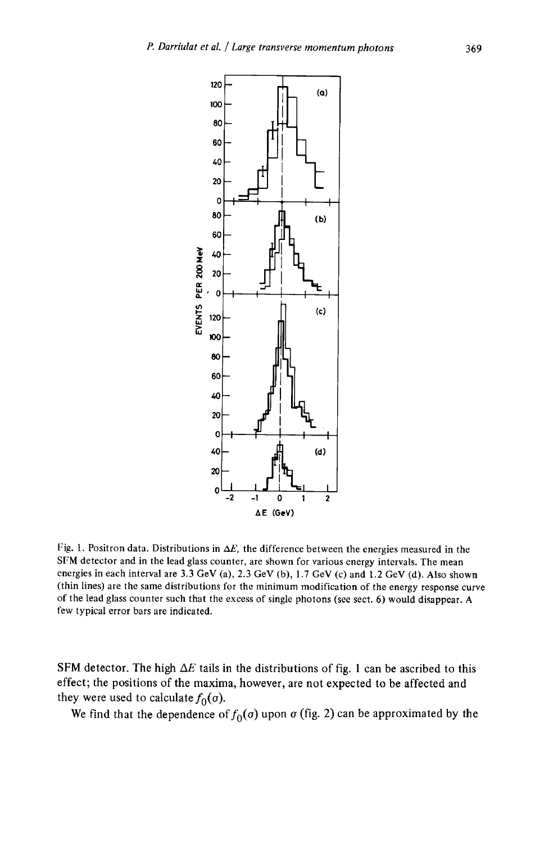

Fig. 1. Positron data. Distributions in  $\Delta E$ , the difference between the energies measured in the SFM detector and in the lead glass counter, are shown for various energy intervals. The mean energies in each interval are 3.3 GeV (a), 2.3 GeV (b), 1.7 GeV (c) and 1.2 GeV (d). Also shown (thin lines) are the same distributions for the minimum modification of the energy response curve of the lead glass counter such that the excess of single photons (see sect. 6) would disappear. A few typical error bars are indicated.

SFM detector. The high  $\Delta E$  tails in the distributions of fig. 1 can be ascribed to this effect; the positions of the maxima, however, are not expected to be affected and they were used to calculate  $f_0(\sigma)$ .

We find that the dependence of  $f_0(\sigma)$  upon  $\sigma$  (fig. 2) can be approximated by the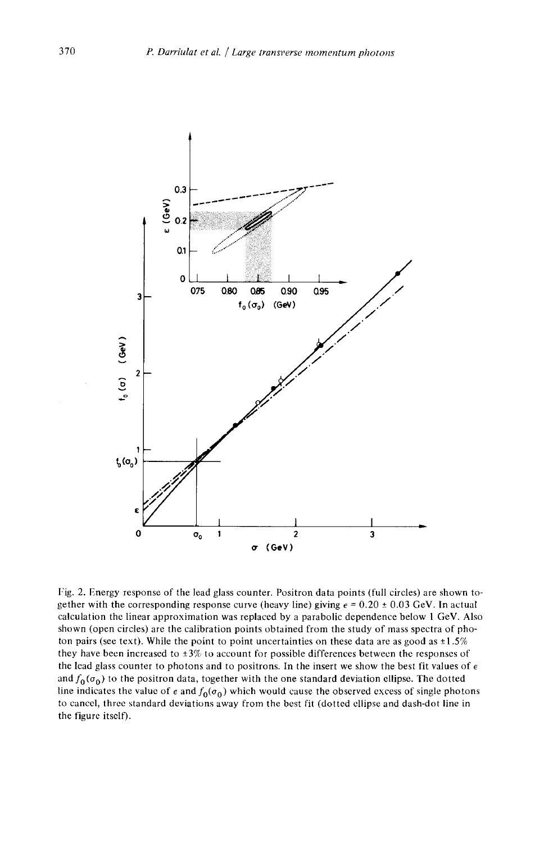

Fig. 2. Energy response of the lead glass counter. Positron data points (full circles) are shown together with the corresponding response curve (heavy line) giving  $\epsilon = 0.20 \pm 0.03$  GeV. In actual calculation the linear approximation was replaced by a parabolic dependence below 1 GeV. Also shown (open circles) are the calibration points obtained from the study of mass spectra of photon pairs (see text). While the point to point uncertainties on these data are as good as  $\pm 1.5\%$ they have been increased to ±3% to account for possible differences between the responses of the lead glass counter to photons and to positrons. In the insert we show the best fit values of  $\epsilon$ and  $f_0(\sigma_0)$  to the positron data, together with the one standard deviation ellipse. The dotted line indicates the value of  $\epsilon$  and  $f_0(\sigma_0)$  which would cause the observed excess of single photons to cancel, three standard deviations away from the best fit (dotted ellipse and dash-dot line in the figure itself).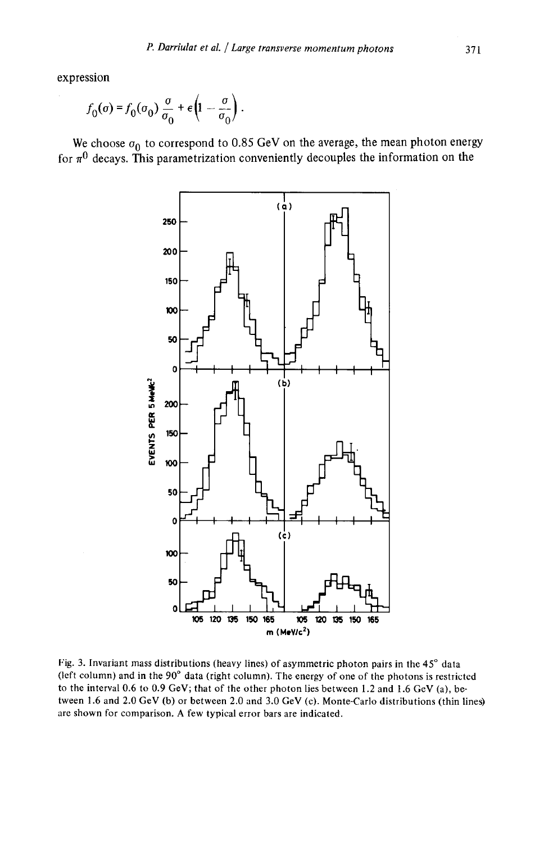expression

$$
f_0(\sigma) = f_0(\sigma_0) \frac{\sigma}{\sigma_0} + \epsilon \left(1 - \frac{\sigma}{\sigma_0}\right).
$$

We choose  $\sigma_0$  to correspond to 0.85 GeV on the average, the mean photon energy for  $\pi^0$  decays. This parametrization conveniently decouples the information on the



Fig. 3. Invariant mass distributions (heavy lines) of asymmetric photon pairs in the  $45^\circ$  data (left column) and in the  $90^\circ$  data (right column). The energy of one of the photons is restricted to the interval 0.6 to 0.9 GeV; that of the other photon lies between 1.2 and 1.6 GeV (a), between 1.6 and 2.0 GeV (b) or between 2.0 and 3.0 GeV (c). Monte-Carlo distributions (thin lines) are shown for comparison. A few typical error bars are indicated.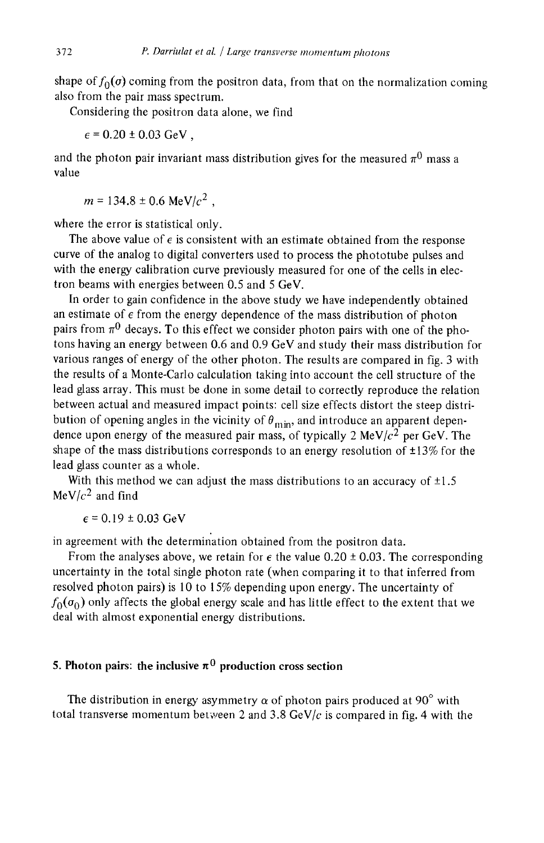shape of  $f_0(\sigma)$  coming from the positron data, from that on the normalization coming also from the pair mass spectrum.

Considering the positron data alone, we find

 $\epsilon$  = 0.20 ± 0.03 GeV.

and the photon pair invariant mass distribution gives for the measured  $\pi^0$  mass a value

 $m = 134.8 \pm 0.6$  MeV/ $c^2$ .

where the error is statistical only.

The above value of  $\epsilon$  is consistent with an estimate obtained from the response curve of the analog to digital converters used to process the phototube pulses and with the energy calibration curve previously measured for one of the cells in electron beams with energies between 0.5 and 5 GeV.

In order to gain confidence in the above study we have independently obtained an estimate of  $\epsilon$  from the energy dependence of the mass distribution of photon pairs from  $\pi^0$  decays. To this effect we consider photon pairs with one of the photons having an energy between 0.6 and 0.9 GeV and study their mass distribution for various ranges of energy of the other photon. The results are compared in fig. 3 with the results of a Monte-Carlo calculation taking into account the cell structure of the lead glass array. This must be done in some detail to correctly reproduce the relation between actual and measured impact points: cell size effects distort the steep distribution of opening angles in the vicinity of  $\theta_{\min}$ , and introduce an apparent dependence upon energy of the measured pair mass, of typically 2 MeV/ $c<sup>2</sup>$  per GeV. The shape of the mass distributions corresponds to an energy resolution of  $\pm 13\%$  for the lead glass counter as a whole.

With this method we can adjust the mass distributions to an accuracy of  $\pm 1.5$  $MeV/c<sup>2</sup>$  and find

 $\epsilon$  = 0.19 ± 0.03 GeV

in agreement with the determination obtained from the positron data.

From the analyses above, we retain for  $\epsilon$  the value 0.20  $\pm$  0.03. The corresponding uncertainty in the total single photon rate (when comparing it to that inferred from resolved photon pairs) is 10 to 15% depending upon energy. The uncertainty of  $f_0(\sigma_0)$  only affects the global energy scale and has little effect to the extent that we deal with almost exponential energy distributions.

# 5. Photon pairs: the inclusive  $\pi^0$  production cross section

The distribution in energy asymmetry  $\alpha$  of photon pairs produced at 90° with total transverse momentum between 2 and 3.8 GeV/ $c$  is compared in fig. 4 with the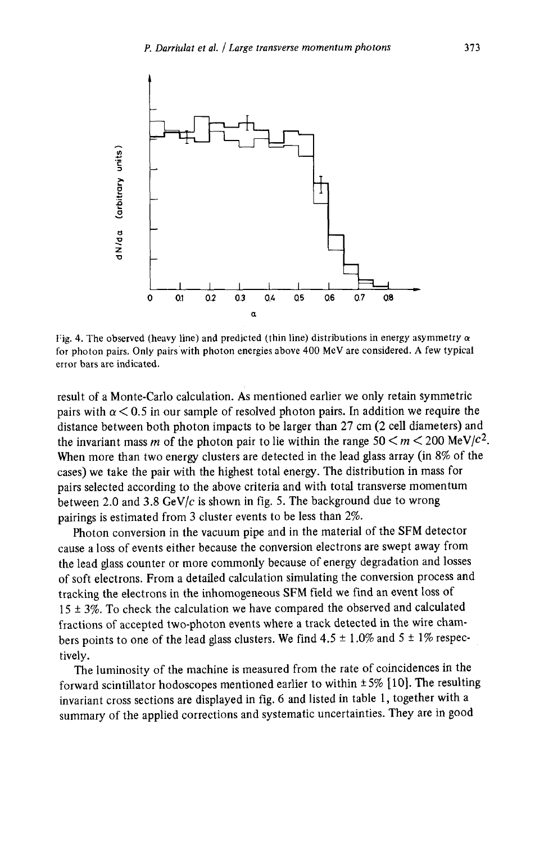

Fig. 4. The observed (heavy line) and predicted (thin line) distributions in energy asymmetry  $\alpha$ for photon pairs. Only pairs'with photon energies above 400 MeV are considered. A few typical error bars are indicated.

result of a Monte-Carlo calculation. As mentioned earlier we only retain symmetric pairs with  $\alpha$  < 0.5 in our sample of resolved photon pairs. In addition we require the distance between both photon impacts to be larger than 27 cm (2 cell diameters) and the invariant mass m of the photon pair to lie within the range  $50 \le m \le 200 \text{ MeV}/c^2$ . When more than two energy clusters are detected in the lead glass array (in 8% of the cases) we take the pair with the highest total energy. The distribution in mass for pairs selected according to the above criteria and with total transverse momentum between 2.0 and 3.8 GeV/ $c$  is shown in fig. 5. The background due to wrong pairings is estimated from 3 cluster events to be less than 2%.

Photon conversion in the vacuum pipe and in the material of the SFM detector cause a loss of events either because the conversion electrons are swept away from the lead glass counter or more commonly because of energy degradation and losses of soft electrons. From a detailed calculation simulating the conversion process and tracking the electrons in the inhomogeneous SFM field we find an event loss of  $15 \pm 3\%$ . To check the calculation we have compared the observed and calculated fractions of accepted two-photon events where a track detected in the wire chambers points to one of the lead glass clusters. We find  $4.5 \pm 1.0\%$  and  $5 \pm 1\%$  respectively.

The luminosity of the machine is measured from the rate of coincidences in the forward scintillator hodoscopes mentioned earlier to within  $\pm 5\%$  [10]. The resulting invariant cross sections are displayed in fig. 6 and listed in table 1, together with a summary of the applied corrections and systematic uncertainties. They are in good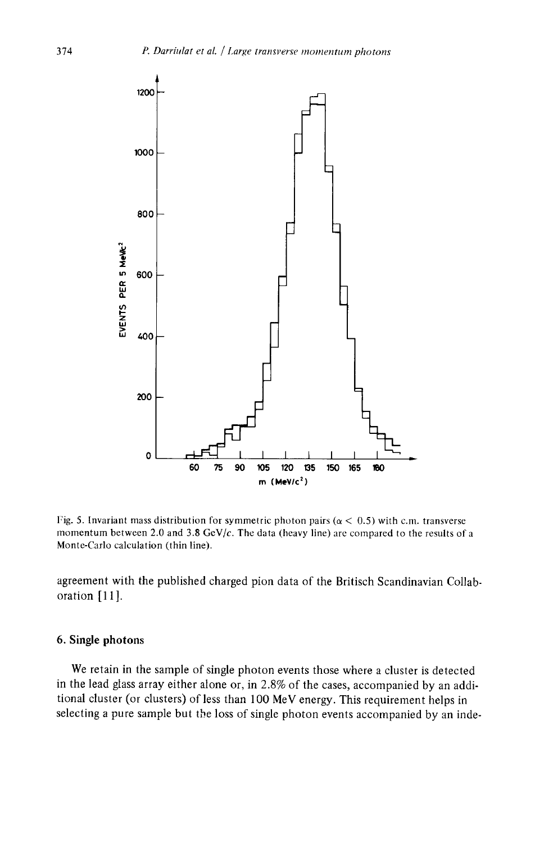

Fig. 5. Invariant mass distribution for symmetric photon pairs ( $\alpha$  < 0.5) with c.m. transverse momentum between 2.0 and 3.8 GeV/c. The data (heavy line) are compared to the results of a Monte-Carlo calculation (thin line).

agreement with the published charged pion data of the Britisch Scandinavian Collab. oration [ 11 ].

### 6. Single photons

We retain in the sample of single photon events those where a cluster is detected in the lead glass array either alone or, in 2.8% of the cases, accompanied by an additional cluster (or clusters) of less than 100 MeV energy. This requirement helps in selecting a pure sample but the loss of single photon events accompanied by an inde-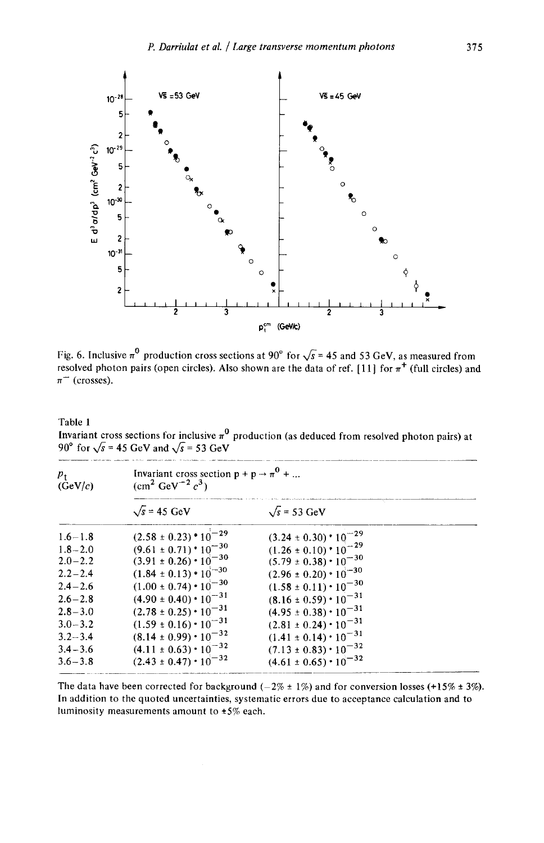

Fig. 6. Inclusive  $\pi^{\circ}$  production cross sections at 90° for  $\sqrt{s}$  = 45 and 53 GeV, as measured from resolved photon pairs (open circles). Also shown are the data of ref. [11] for  $\pi^+$  (full circles) and  $\pi^-$  (crosses).

Table 1

Invariant cross sections for inclusive  $\pi^{\vee}$  production (as deduced from resolved photon pairs) at 90 $\degree$  for  $\sqrt{s}$  = 45 GeV and  $\sqrt{s}$  = 53 GeV

| $p_{\uparrow}$<br>(GeV/c) | Invariant cross section $p + p \rightarrow \pi^{0} + $<br>$(cm^2 \text{ GeV}^{-2} c^3)$ |                                                                      |  |
|---------------------------|-----------------------------------------------------------------------------------------|----------------------------------------------------------------------|--|
|                           | $\sqrt{s}$ = 45 GeV                                                                     | $\sqrt{s}$ = 53 GeV                                                  |  |
| $1.6 - 1.8$               | $(2.58 \pm 0.23)$ * $10^{-29}$                                                          | $(3.24 \pm 0.30) \cdot 10^{-29}$<br>$(1.26 \pm 0.10) \cdot 10^{-29}$ |  |
| $1.8 - 2.0$               | $(9.61 \pm 0.71)$ $^{\circ}10^{-30}$                                                    |                                                                      |  |
| $2.0 - 2.2$               | $(3.91 \pm 0.26) \cdot 10^{-30}$                                                        | $(5.79 \pm 0.38) \cdot 10^{-30}$                                     |  |
| $2.2 - 2.4$               | $(1.84 \pm 0.13) \cdot 10^{-30}$                                                        | $(2.96 \pm 0.20) \cdot 10^{-30}$                                     |  |
| $2.4 - 2.6$               | $(1.00 \pm 0.74) \cdot 10^{-30}$                                                        | $(1.58 \pm 0.11) \cdot 10^{-30}$                                     |  |
| $2.6 - 2.8$               | $(4.90 \pm 0.40) \cdot 10^{-31}$                                                        | $(8.16 \pm 0.59) \cdot 10^{-31}$                                     |  |
| $2.8 - 3.0$               | $(2.78 \pm 0.25) \cdot 10^{-31}$                                                        | $(4.95 \pm 0.38) \cdot 10^{-31}$                                     |  |
| $3.0 - 3.2$               | $(1.59 \pm 0.16) \cdot 10^{-31}$                                                        | $(2.81 \pm 0.24) \cdot 10^{-31}$                                     |  |
| $3.2 - 3.4$               | $(8.14 \pm 0.99) \cdot 10^{-32}$                                                        | $(1.41 \pm 0.14) \cdot 10^{-31}$                                     |  |
| $3.4 - 3.6$               | $(4.11 \pm 0.63) \cdot 10^{-32}$                                                        | $(7.13 \pm 0.83) \cdot 10^{-32}$                                     |  |
| $3.6 - 3.8$               | $(2.43 \pm 0.47) \cdot 10^{-32}$                                                        | $(4.61 \pm 0.65) \cdot 10^{-32}$                                     |  |

The data have been corrected for background  $(-2\% \pm 1\%)$  and for conversion losses (+15%  $\pm$  3%). In addition to the quoted uncertainties, systematic errors due to acceptance calculation and to luminosity measurements amount to  $\pm 5\%$  each.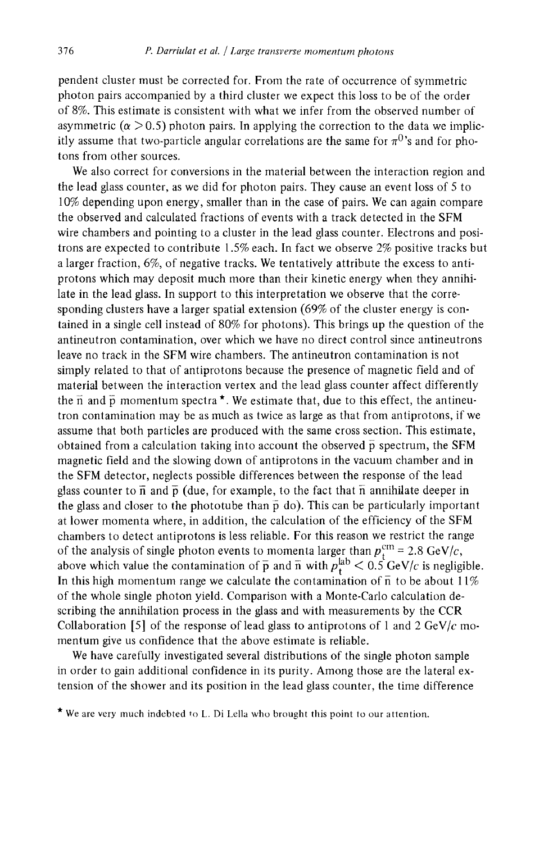pendent cluster must be corrected for. From the rate of occurrence of symmetric photon pairs accompanied by a third cluster we expect this loss to be of the order of 8%. This estimate is consistent with what we infer from the observed number of asymmetric ( $\alpha$  > 0.5) photon pairs. In applying the correction to the data we implicitly assume that two-particle angular correlations are the same for  $\pi^{0}$ 's and for photons from other sources.

We also correct for conversions in the material between the interaction region and the lead glass counter, as we did for photon pairs. They cause an event loss of 5 to 10% depending upon energy, smaller than in the case of pairs. We can again compare the observed and calculated fractions of events with a track detected in the SFM wire chambers and pointing to a cluster in the lead glass counter. Electrons and positrons are expected to contribute  $1.5\%$  each. In fact we observe  $2\%$  positive tracks but a larger fraction, 6%, of negative tracks. We tentatively attribute the excess to antiprotons which may deposit much more than their kinetic energy when they annihilate in the lead glass. In support to this interpretation we observe that the corresponding clusters have a larger spatial extension (69% of the cluster energy is contained in a single cell instead of 80% for photons). This brings up the question of the antineutron contamination, over which we have no direct control since antineutrons leave no track in the SFM wire chambers. The antineutron contamination is not simply related to that of antiprotons because the presence of magnetic field and of material between the interaction vertex and the lead glass counter affect differently the  $\overline{n}$  and  $\overline{p}$  momentum spectra<sup>\*</sup>. We estimate that, due to this effect, the antineutron contamination may be as much as twice as large as that from antiprotons, if we assume that both particles are produced with the same cross section. This estimate, obtained from a calculation taking into account the observed  $\bar{p}$  spectrum, the SFM magnetic field and the slowing down of antiprotons in the vacuum chamber and in the SFM detector, neglects possible differences between the response of the lead glass counter to  $\overline{n}$  and  $\overline{p}$  (due, for example, to the fact that  $\overline{n}$  annihilate deeper in the glass and closer to the phototube than  $\bar{p}$  do). This can be particularly important at lower momenta where, in addition, the calculation of the efficiency of the SFM chambers to detect antiprotons is less reliable. For this reason we restrict the range of the analysis of single photon events to momenta larger than  $p_i^{\text{cm}} = 2.8 \text{ GeV}/c$ , above which value the contamination of  $\bar{p}$  and  $\bar{n}$  with  $p_{\tau}^{\mu\nu} < 0.5$  GeV/c is negligible. In this high momentum range we calculate the contamination of  $\overline{n}$  to be about 11% of the whole single photon yield. Comparison with a Monte-Carlo calculation describing the annihilation process in the glass and with measurements by the CCR Collaboration [5] of the response of lead glass to antiprotons of 1 and 2 GeV/c momentum give us confidence that the above estimate is reliable.

We have carefully investigated several distributions of the single photon sample in order to gain additional confidence in its purity. Among those are the lateral extension of the shower and its position in the lead glass counter, the time difference

<sup>\*</sup> We are very much indebted to L. Di Lella who brought this point to our attention.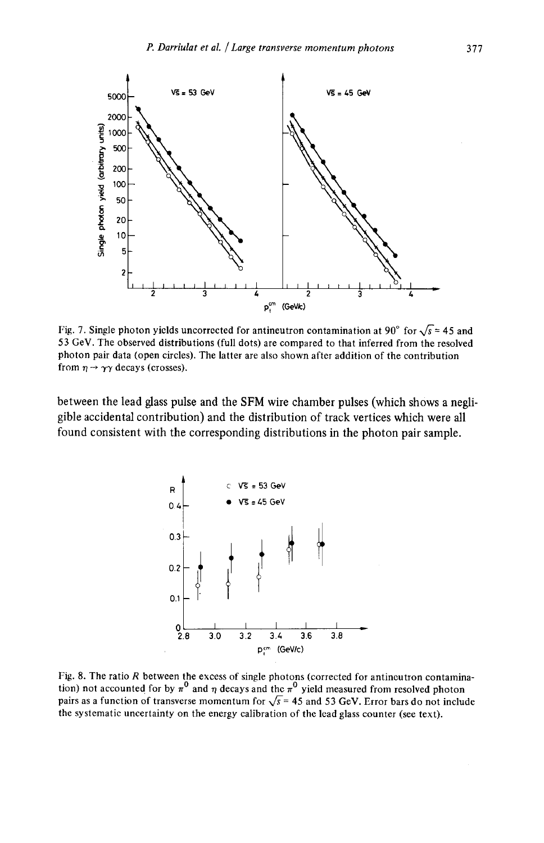

Fig. 7. Single photon yields uncorrected for antineutron contamination at 90° for  $\sqrt{s}$  = 45 and 53 GeV. The observed distributions (full dots) are compared to that inferred from the resolved photon pair data (open circles). The latter are also shown after addition of the contribution from  $\eta \rightarrow \gamma \gamma$  decays (crosses).

**between the lead glass pulse and the SFM wire chamber pulses (which shows a negligible accidental contribution) and the distribution of track vertices which were all found consistent with the corresponding distributions in the photon pair sample.** 



Fig. 8. The ratio  $R$  between the excess of single photons (corrected for antineutron contamination) not accounted for by  $\pi^0$  and  $\eta$  decays and the  $\pi^0$  yield measured from resolved photon pairs as a function of transverse momentum for  $\sqrt{s}$  = 45 and 53 GeV. Error bars do not include the systematic uncertainty on the energy calibration of the lead glass counter (see text).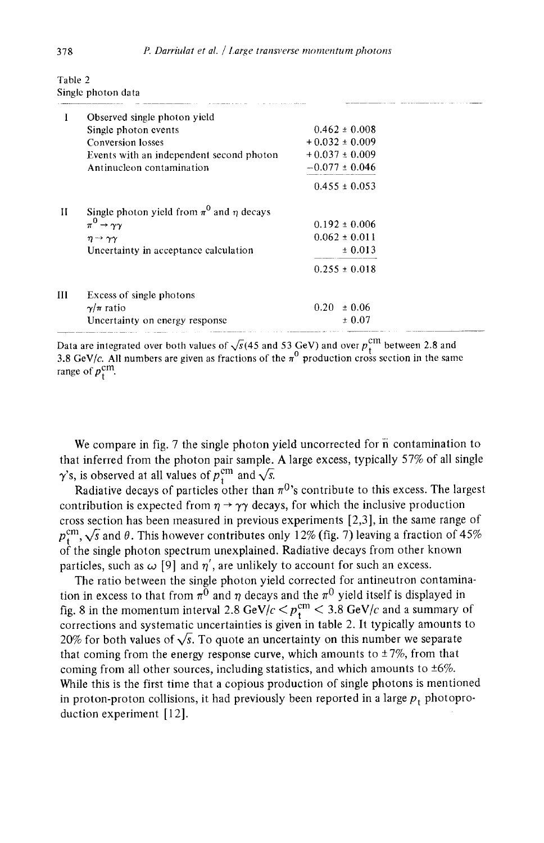| 1 | Observed single photon yield                       |                    |  |
|---|----------------------------------------------------|--------------------|--|
|   | Single photon events                               | $0.462 \pm 0.008$  |  |
|   | Conversion losses                                  | $+0.032 \pm 0.009$ |  |
|   | Events with an independent second photon           | $+0.037 \pm 0.009$ |  |
|   | Antinucleon contamination                          | $-0.077 \pm 0.046$ |  |
|   |                                                    | $0.455 \pm 0.053$  |  |
| и | Single photon yield from $\pi^0$ and $\eta$ decays |                    |  |
|   | $\pi^0 \rightarrow \gamma \gamma$                  | $0.192 \pm 0.006$  |  |
|   | $\eta \rightarrow \gamma \gamma$                   | $0.062 \pm 0.011$  |  |
|   | Uncertainty in acceptance calculation              | ± 0.013            |  |
|   |                                                    | $0.255 \pm 0.018$  |  |
| Ш | Excess of single photons                           |                    |  |
|   | $\gamma/\pi$ ratio                                 | ± 0.06<br>0.20     |  |
|   | Uncertainty on energy response                     | ± 0.07             |  |

Table 2 Single photon data

Data are integrated over both values of  $\sqrt{s}$ (45 and 53 GeV) and over  $p_{\perp}^{\text{un}}$  between 2.8 and 3.8 GeV/c. All numbers are given as fractions of the  $\pi^0$  production cross section in the same range of  $p_{\rm t}^{\rm cm}$ .

We compare in fig. 7 the single photon yield uncorrected for  $\overline{n}$  contamination to that inferred from the photon pair sample. A large excess, typically 57% of all single  $\gamma$ 's, is observed at all values of  $p_t^{\text{cm}}$  and  $\sqrt{s}$ .

Radiative decays of particles other than  $\pi^{0}$ 's contribute to this excess. The largest contribution is expected from  $\eta \rightarrow \gamma \gamma$  decays, for which the inclusive production cross section has been measured in previous experiments [2,3], in the same range of  $p_{t}^{\text{cm}}, \sqrt{s}$  and  $\theta$ . This however contributes only 12% (fig. 7) leaving a fraction of 45% of the single photon spectrum unexplained. Radiative decays from other known particles, such as  $\omega$  [9] and  $\eta'$ , are unlikely to account for such an excess.

The ratio between the single photon yield corrected for antineutron contamination in excess to that from  $\pi^0$  and  $\eta$  decays and the  $\pi^0$  yield itself is displayed in fig. 8 in the momentum interval 2.8 GeV/c  $\langle p_{\rm{r}}^{\rm{cm}} \rangle$  3.8 GeV/c and a summary of corrections and systematic uncertainties is given in table 2. It typically amounts to 20% for both values of  $\sqrt{s}$ . To quote an uncertainty on this number we separate that coming from the energy response curve, which amounts to  $\pm 7\%$ , from that coming from all other sources, including statistics, and which amounts to  $\pm 6\%$ . While this is the first time that a copious production of single photons is mentioned in proton-proton collisions, it had previously been reported in a large  $p_t$  photoproduction experiment [12].